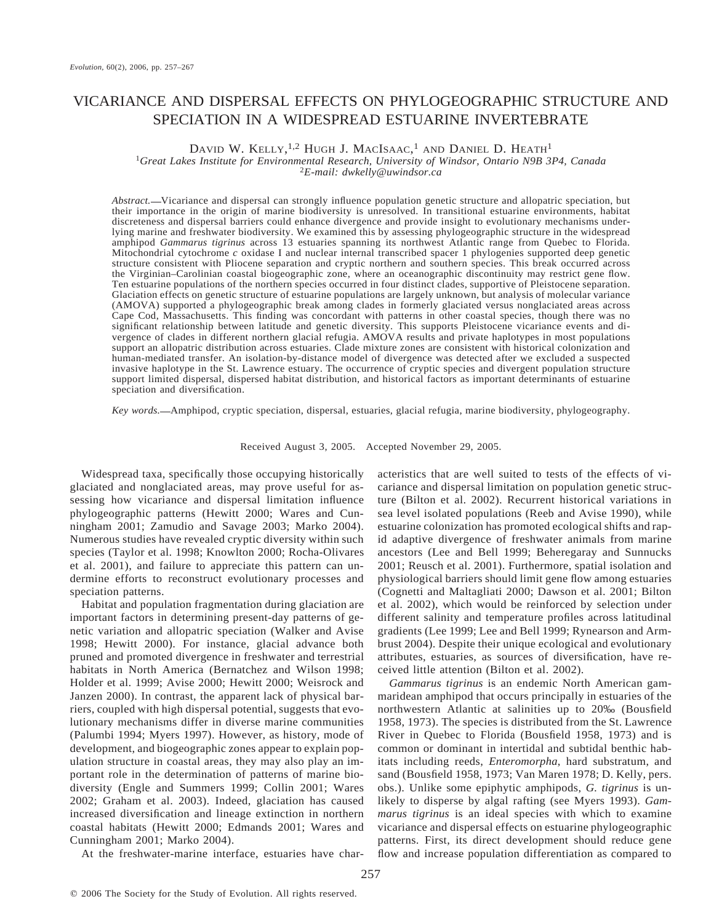# VICARIANCE AND DISPERSAL EFFECTS ON PHYLOGEOGRAPHIC STRUCTURE AND SPECIATION IN A WIDESPREAD ESTUARINE INVERTEBRATE

# DAVID W. KELLY,<sup>1,2</sup> HUGH J. MACISAAC,<sup>1</sup> AND DANIEL D. HEATH<sup>1</sup>

<sup>1</sup>*Great Lakes Institute for Environmental Research, University of Windsor, Ontario N9B 3P4, Canada* <sup>2</sup>*E-mail: dwkelly@uwindsor.ca*

*Abstract.* - Vicariance and dispersal can strongly influence population genetic structure and allopatric speciation, but their importance in the origin of marine biodiversity is unresolved. In transitional estuarine environments, habitat discreteness and dispersal barriers could enhance divergence and provide insight to evolutionary mechanisms underlying marine and freshwater biodiversity. We examined this by assessing phylogeographic structure in the widespread amphipod *Gammarus tigrinus* across 13 estuaries spanning its northwest Atlantic range from Quebec to Florida. Mitochondrial cytochrome *c* oxidase I and nuclear internal transcribed spacer 1 phylogenies supported deep genetic structure consistent with Pliocene separation and cryptic northern and southern species. This break occurred across the Virginian–Carolinian coastal biogeographic zone, where an oceanographic discontinuity may restrict gene flow. Ten estuarine populations of the northern species occurred in four distinct clades, supportive of Pleistocene separation. Glaciation effects on genetic structure of estuarine populations are largely unknown, but analysis of molecular variance (AMOVA) supported a phylogeographic break among clades in formerly glaciated versus nonglaciated areas across Cape Cod, Massachusetts. This finding was concordant with patterns in other coastal species, though there was no significant relationship between latitude and genetic diversity. This supports Pleistocene vicariance events and divergence of clades in different northern glacial refugia. AMOVA results and private haplotypes in most populations support an allopatric distribution across estuaries. Clade mixture zones are consistent with historical colonization and human-mediated transfer. An isolation-by-distance model of divergence was detected after we excluded a suspected invasive haplotype in the St. Lawrence estuary. The occurrence of cryptic species and divergent population structure support limited dispersal, dispersed habitat distribution, and historical factors as important determinants of estuarine speciation and diversification.

*Key words.* Amphipod, cryptic speciation, dispersal, estuaries, glacial refugia, marine biodiversity, phylogeography.

Received August 3, 2005. Accepted November 29, 2005.

Widespread taxa, specifically those occupying historically glaciated and nonglaciated areas, may prove useful for assessing how vicariance and dispersal limitation influence phylogeographic patterns (Hewitt 2000; Wares and Cunningham 2001; Zamudio and Savage 2003; Marko 2004). Numerous studies have revealed cryptic diversity within such species (Taylor et al. 1998; Knowlton 2000; Rocha-Olivares et al. 2001), and failure to appreciate this pattern can undermine efforts to reconstruct evolutionary processes and speciation patterns.

Habitat and population fragmentation during glaciation are important factors in determining present-day patterns of genetic variation and allopatric speciation (Walker and Avise 1998; Hewitt 2000). For instance, glacial advance both pruned and promoted divergence in freshwater and terrestrial habitats in North America (Bernatchez and Wilson 1998; Holder et al. 1999; Avise 2000; Hewitt 2000; Weisrock and Janzen 2000). In contrast, the apparent lack of physical barriers, coupled with high dispersal potential, suggests that evolutionary mechanisms differ in diverse marine communities (Palumbi 1994; Myers 1997). However, as history, mode of development, and biogeographic zones appear to explain population structure in coastal areas, they may also play an important role in the determination of patterns of marine biodiversity (Engle and Summers 1999; Collin 2001; Wares 2002; Graham et al. 2003). Indeed, glaciation has caused increased diversification and lineage extinction in northern coastal habitats (Hewitt 2000; Edmands 2001; Wares and Cunningham 2001; Marko 2004).

acteristics that are well suited to tests of the effects of vicariance and dispersal limitation on population genetic structure (Bilton et al. 2002). Recurrent historical variations in sea level isolated populations (Reeb and Avise 1990), while estuarine colonization has promoted ecological shifts and rapid adaptive divergence of freshwater animals from marine ancestors (Lee and Bell 1999; Beheregaray and Sunnucks 2001; Reusch et al. 2001). Furthermore, spatial isolation and physiological barriers should limit gene flow among estuaries (Cognetti and Maltagliati 2000; Dawson et al. 2001; Bilton et al. 2002), which would be reinforced by selection under different salinity and temperature profiles across latitudinal gradients (Lee 1999; Lee and Bell 1999; Rynearson and Armbrust 2004). Despite their unique ecological and evolutionary attributes, estuaries, as sources of diversification, have received little attention (Bilton et al. 2002).

*Gammarus tigrinus* is an endemic North American gammaridean amphipod that occurs principally in estuaries of the northwestern Atlantic at salinities up to 20‰ (Bousfield 1958, 1973). The species is distributed from the St. Lawrence River in Quebec to Florida (Bousfield 1958, 1973) and is common or dominant in intertidal and subtidal benthic habitats including reeds, *Enteromorpha*, hard substratum, and sand (Bousfield 1958, 1973; Van Maren 1978; D. Kelly, pers. obs.). Unlike some epiphytic amphipods, *G. tigrinus* is unlikely to disperse by algal rafting (see Myers 1993). *Gammarus tigrinus* is an ideal species with which to examine vicariance and dispersal effects on estuarine phylogeographic patterns. First, its direct development should reduce gene flow and increase population differentiation as compared to

At the freshwater-marine interface, estuaries have char-

257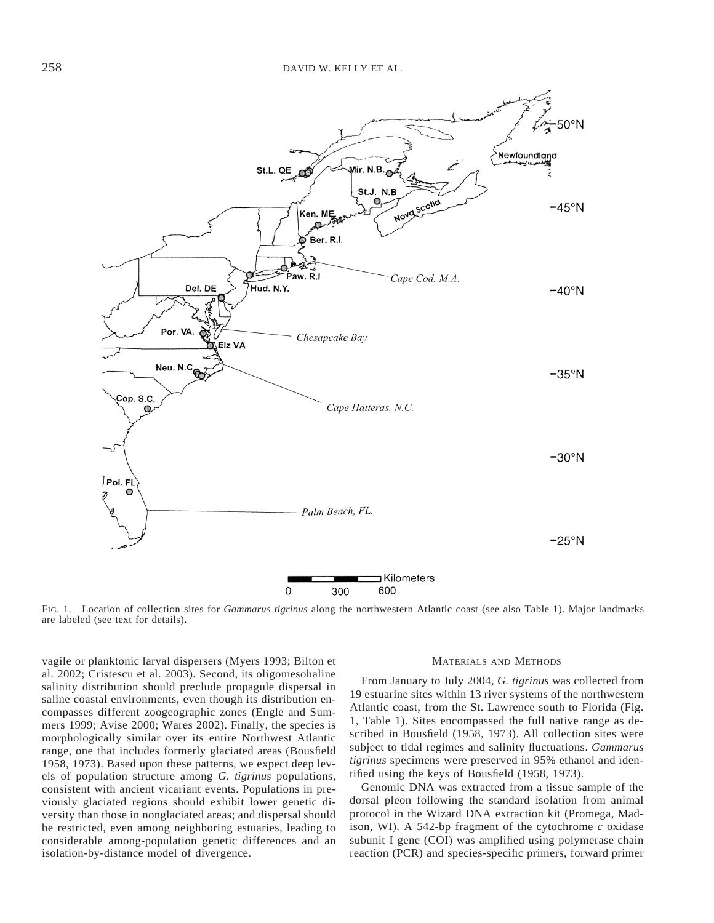

FIG. 1. Location of collection sites for *Gammarus tigrinus* along the northwestern Atlantic coast (see also Table 1). Major landmarks are labeled (see text for details).

vagile or planktonic larval dispersers (Myers 1993; Bilton et al. 2002; Cristescu et al. 2003). Second, its oligomesohaline salinity distribution should preclude propagule dispersal in saline coastal environments, even though its distribution encompasses different zoogeographic zones (Engle and Summers 1999; Avise 2000; Wares 2002). Finally, the species is morphologically similar over its entire Northwest Atlantic range, one that includes formerly glaciated areas (Bousfield 1958, 1973). Based upon these patterns, we expect deep levels of population structure among *G. tigrinus* populations, consistent with ancient vicariant events. Populations in previously glaciated regions should exhibit lower genetic diversity than those in nonglaciated areas; and dispersal should be restricted, even among neighboring estuaries, leading to considerable among-population genetic differences and an isolation-by-distance model of divergence.

#### MATERIALS AND METHODS

From January to July 2004, *G. tigrinus* was collected from 19 estuarine sites within 13 river systems of the northwestern Atlantic coast, from the St. Lawrence south to Florida (Fig. 1, Table 1). Sites encompassed the full native range as described in Bousfield (1958, 1973). All collection sites were subject to tidal regimes and salinity fluctuations. *Gammarus tigrinus* specimens were preserved in 95% ethanol and identified using the keys of Bousfield (1958, 1973).

Genomic DNA was extracted from a tissue sample of the dorsal pleon following the standard isolation from animal protocol in the Wizard DNA extraction kit (Promega, Madison, WI). A 542-bp fragment of the cytochrome  $c$  oxidase subunit I gene (COI) was amplified using polymerase chain reaction (PCR) and species-specific primers, forward primer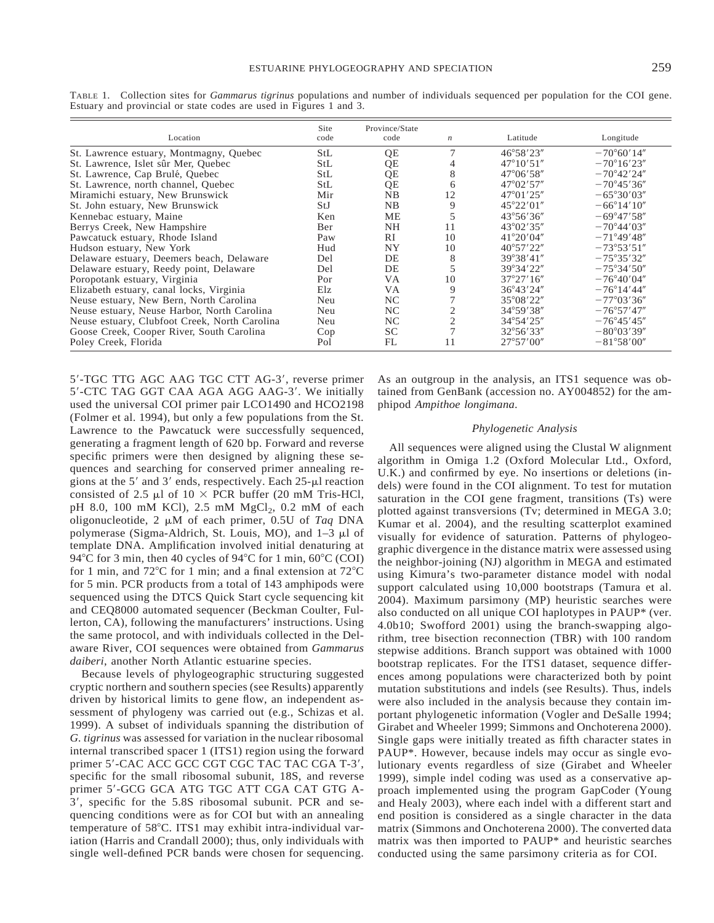| ۰.<br>× |
|---------|
|         |

| Location                                      | Site<br>code | Province/State<br>code | $\boldsymbol{n}$ | Latitude            | Longitude            |
|-----------------------------------------------|--------------|------------------------|------------------|---------------------|----------------------|
| St. Lawrence estuary, Montmagny, Quebec       | StL          | QE                     |                  | $46^{\circ}58'23''$ | $-70^{\circ}60'14''$ |
| St. Lawrence, Islet sûr Mer, Quebec           | StL          | QE                     |                  | $47^{\circ}10'51''$ | $-70^{\circ}16'23''$ |
| St. Lawrence, Cap Brulé, Quebec               | <b>StL</b>   | QE                     | 8                | $47^{\circ}06'58''$ | $-70^{\circ}42'24''$ |
| St. Lawrence, north channel, Quebec           | <b>StL</b>   | QE                     | 6                | $47^{\circ}02'57''$ | $-70^{\circ}45'36''$ |
| Miramichi estuary, New Brunswick              | Mir          | NB                     | 12               | $47^{\circ}01'25''$ | $-65^{\circ}30'03''$ |
| St. John estuary, New Brunswick               | StJ          | NB                     | 9                | $45^{\circ}22'01''$ | $-66^{\circ}14'10''$ |
| Kennebac estuary, Maine                       | Ken          | ME                     |                  | $43^{\circ}56'36''$ | $-69^{\circ}47'58''$ |
| Berrys Creek, New Hampshire                   | Ber          | <b>NH</b>              | 11               | $43^{\circ}02'35''$ | $-70^{\circ}44'03''$ |
| Pawcatuck estuary, Rhode Island               | Paw          | <b>RI</b>              | 10               | $41^{\circ}20'04''$ | $-71^{\circ}49'48''$ |
| Hudson estuary, New York                      | Hud          | NY                     | 10               | $40^{\circ}57'22''$ | $-73^{\circ}53'51''$ |
| Delaware estuary, Deemers beach, Delaware     | Del          | DE                     | 8                | 39°38'41"           | $-75^{\circ}35'32''$ |
| Delaware estuary, Reedy point, Delaware       | Del          | DE                     |                  | $39^{\circ}34'22''$ | $-75^{\circ}34'50''$ |
| Poropotank estuary, Virginia                  | Por          | <b>VA</b>              | 10               | 37°27'16''          | $-76^{\circ}40'04''$ |
| Elizabeth estuary, canal locks, Virginia      | Elz          | <b>VA</b>              | 9                | 36°43'24"           | $-76^{\circ}14'44''$ |
| Neuse estuary, New Bern, North Carolina       | Neu          | NC.                    |                  | 35°08'22"           | $-77^{\circ}03'36''$ |
| Neuse estuary, Neuse Harbor, North Carolina   | Neu          | NC.                    |                  | 34°59′38″           | $-76^{\circ}57'47''$ |
| Neuse estuary, Clubfoot Creek, North Carolina | Neu          | NC                     |                  | 34°54'25"           | $-76^{\circ}45'45''$ |
| Goose Creek, Cooper River, South Carolina     | Cop          | SC.                    |                  | $32^{\circ}56'33''$ | $-80^{\circ}03'39''$ |
| Poley Creek, Florida                          | Pol          | FL                     | 11               | $27^{\circ}57'00''$ | $-81^{\circ}58'00''$ |

TABLE 1. Collection sites for *Gammarus tigrinus* populations and number of individuals sequenced per population for the COI gene. Estuary and provincial or state codes are used in Figures 1 and 3.

5'-TGC TTG AGC AAG TGC CTT AG-3', reverse primer 5'-CTC TAG GGT CAA AGA AGG AAG-3'. We initially used the universal COI primer pair LCO1490 and HCO2198 (Folmer et al. 1994), but only a few populations from the St. Lawrence to the Pawcatuck were successfully sequenced, generating a fragment length of 620 bp. Forward and reverse specific primers were then designed by aligning these sequences and searching for conserved primer annealing regions at the 5' and 3' ends, respectively. Each  $25$ - $\mu$ l reaction consisted of 2.5  $\mu$ l of 10  $\times$  PCR buffer (20 mM Tris-HCl, pH 8.0, 100 mM KCl), 2.5 mM  $MgCl<sub>2</sub>$ , 0.2 mM of each oligonucleotide, 2  $\mu$ M of each primer, 0.5U of *Taq* DNA polymerase (Sigma-Aldrich, St. Louis, MO), and 1–3 ml of template DNA. Amplification involved initial denaturing at 94°C for 3 min, then 40 cycles of 94°C for 1 min,  $60^{\circ}$ C (COI) for 1 min, and  $72^{\circ}$ C for 1 min; and a final extension at  $72^{\circ}$ C for 5 min. PCR products from a total of 143 amphipods were sequenced using the DTCS Quick Start cycle sequencing kit and CEQ8000 automated sequencer (Beckman Coulter, Fullerton, CA), following the manufacturers' instructions. Using the same protocol, and with individuals collected in the Delaware River, COI sequences were obtained from *Gammarus daiberi*, another North Atlantic estuarine species.

Because levels of phylogeographic structuring suggested cryptic northern and southern species (see Results) apparently driven by historical limits to gene flow, an independent assessment of phylogeny was carried out (e.g., Schizas et al. 1999). A subset of individuals spanning the distribution of *G. tigrinus* was assessed for variation in the nuclear ribosomal internal transcribed spacer 1 (ITS1) region using the forward primer 5'-CAC ACC GCC CGT CGC TAC TAC CGA T-3', specific for the small ribosomal subunit, 18S, and reverse primer 5'-GCG GCA ATG TGC ATT CGA CAT GTG A-3', specific for the 5.8S ribosomal subunit. PCR and sequencing conditions were as for COI but with an annealing temperature of 58°C. ITS1 may exhibit intra-individual variation (Harris and Crandall 2000); thus, only individuals with single well-defined PCR bands were chosen for sequencing.

As an outgroup in the analysis, an ITS1 sequence was obtained from GenBank (accession no. AY004852) for the amphipod *Ampithoe longimana*.

## *Phylogenetic Analysis*

All sequences were aligned using the Clustal W alignment algorithm in Omiga 1.2 (Oxford Molecular Ltd., Oxford, U.K.) and confirmed by eye. No insertions or deletions (indels) were found in the COI alignment. To test for mutation saturation in the COI gene fragment, transitions (Ts) were plotted against transversions (Tv; determined in MEGA 3.0; Kumar et al. 2004), and the resulting scatterplot examined visually for evidence of saturation. Patterns of phylogeographic divergence in the distance matrix were assessed using the neighbor-joining (NJ) algorithm in MEGA and estimated using Kimura's two-parameter distance model with nodal support calculated using 10,000 bootstraps (Tamura et al. 2004). Maximum parsimony (MP) heuristic searches were also conducted on all unique COI haplotypes in PAUP\* (ver. 4.0b10; Swofford 2001) using the branch-swapping algorithm, tree bisection reconnection (TBR) with 100 random stepwise additions. Branch support was obtained with 1000 bootstrap replicates. For the ITS1 dataset, sequence differences among populations were characterized both by point mutation substitutions and indels (see Results). Thus, indels were also included in the analysis because they contain important phylogenetic information (Vogler and DeSalle 1994; Girabet and Wheeler 1999; Simmons and Onchoterena 2000). Single gaps were initially treated as fifth character states in PAUP\*. However, because indels may occur as single evolutionary events regardless of size (Girabet and Wheeler 1999), simple indel coding was used as a conservative approach implemented using the program GapCoder (Young and Healy 2003), where each indel with a different start and end position is considered as a single character in the data matrix (Simmons and Onchoterena 2000). The converted data matrix was then imported to PAUP\* and heuristic searches conducted using the same parsimony criteria as for COI.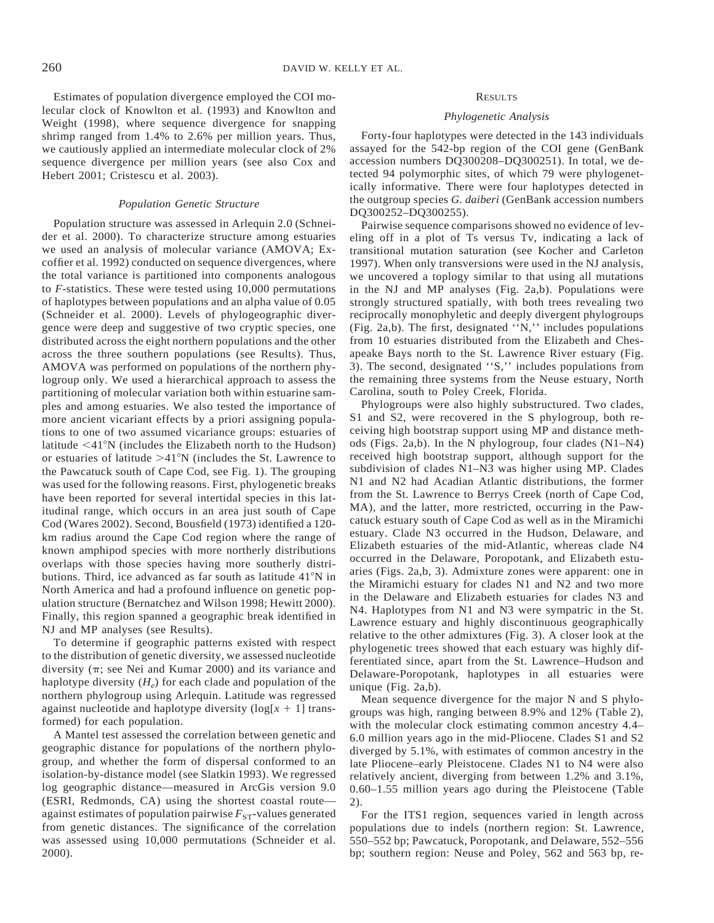Estimates of population divergence employed the COI molecular clock of Knowlton et al. (1993) and Knowlton and Weight (1998), where sequence divergence for snapping shrimp ranged from 1.4% to 2.6% per million years. Thus, we cautiously applied an intermediate molecular clock of 2% sequence divergence per million years (see also Cox and Hebert 2001; Cristescu et al. 2003).

#### *Population Genetic Structure*

Population structure was assessed in Arlequin 2.0 (Schneider et al. 2000). To characterize structure among estuaries we used an analysis of molecular variance (AMOVA; Excoffier et al. 1992) conducted on sequence divergences, where the total variance is partitioned into components analogous to *F*-statistics. These were tested using 10,000 permutations of haplotypes between populations and an alpha value of 0.05 (Schneider et al. 2000). Levels of phylogeographic divergence were deep and suggestive of two cryptic species, one distributed across the eight northern populations and the other across the three southern populations (see Results). Thus, AMOVA was performed on populations of the northern phylogroup only. We used a hierarchical approach to assess the partitioning of molecular variation both within estuarine samples and among estuaries. We also tested the importance of more ancient vicariant effects by a priori assigning populations to one of two assumed vicariance groups: estuaries of latitude  $\leq 41^{\circ}$ N (includes the Elizabeth north to the Hudson) or estuaries of latitude  $>41^{\circ}N$  (includes the St. Lawrence to the Pawcatuck south of Cape Cod, see Fig. 1). The grouping was used for the following reasons. First, phylogenetic breaks have been reported for several intertidal species in this latitudinal range, which occurs in an area just south of Cape Cod (Wares 2002). Second, Bousfield (1973) identified a 120 km radius around the Cape Cod region where the range of known amphipod species with more northerly distributions overlaps with those species having more southerly distributions. Third, ice advanced as far south as latitude 41°N in North America and had a profound influence on genetic population structure (Bernatchez and Wilson 1998; Hewitt 2000). Finally, this region spanned a geographic break identified in NJ and MP analyses (see Results).

To determine if geographic patterns existed with respect to the distribution of genetic diversity, we assessed nucleotide diversity ( $\pi$ ; see Nei and Kumar 2000) and its variance and haplotype diversity  $(H_e)$  for each clade and population of the northern phylogroup using Arlequin. Latitude was regressed against nucleotide and haplotype diversity  $(\log[x + 1] \text{ trans-}$ formed) for each population.

A Mantel test assessed the correlation between genetic and geographic distance for populations of the northern phylogroup, and whether the form of dispersal conformed to an isolation-by-distance model (see Slatkin 1993). We regressed log geographic distance—measured in ArcGis version 9.0 (ESRI, Redmonds, CA) using the shortest coastal route against estimates of population pairwise  $F_{ST}$ -values generated from genetic distances. The significance of the correlation was assessed using 10,000 permutations (Schneider et al. 2000).

### **RESULTS**

#### *Phylogenetic Analysis*

Forty-four haplotypes were detected in the 143 individuals assayed for the 542-bp region of the COI gene (GenBank accession numbers DQ300208–DQ300251). In total, we detected 94 polymorphic sites, of which 79 were phylogenetically informative. There were four haplotypes detected in the outgroup species *G. daiberi* (GenBank accession numbers DQ300252–DQ300255).

Pairwise sequence comparisons showed no evidence of leveling off in a plot of Ts versus Tv, indicating a lack of transitional mutation saturation (see Kocher and Carleton 1997). When only transversions were used in the NJ analysis, we uncovered a toplogy similar to that using all mutations in the NJ and MP analyses (Fig. 2a,b). Populations were strongly structured spatially, with both trees revealing two reciprocally monophyletic and deeply divergent phylogroups (Fig. 2a,b). The first, designated ''N,'' includes populations from 10 estuaries distributed from the Elizabeth and Chesapeake Bays north to the St. Lawrence River estuary (Fig. 3). The second, designated ''S,'' includes populations from the remaining three systems from the Neuse estuary, North Carolina, south to Poley Creek, Florida.

Phylogroups were also highly substructured. Two clades, S1 and S2, were recovered in the S phylogroup, both receiving high bootstrap support using MP and distance methods (Figs. 2a,b). In the N phylogroup, four clades (N1–N4) received high bootstrap support, although support for the subdivision of clades N1–N3 was higher using MP. Clades N1 and N2 had Acadian Atlantic distributions, the former from the St. Lawrence to Berrys Creek (north of Cape Cod, MA), and the latter, more restricted, occurring in the Pawcatuck estuary south of Cape Cod as well as in the Miramichi estuary. Clade N3 occurred in the Hudson, Delaware, and Elizabeth estuaries of the mid-Atlantic, whereas clade N4 occurred in the Delaware, Poropotank, and Elizabeth estuaries (Figs. 2a,b, 3). Admixture zones were apparent: one in the Miramichi estuary for clades N1 and N2 and two more in the Delaware and Elizabeth estuaries for clades N3 and N4. Haplotypes from N1 and N3 were sympatric in the St. Lawrence estuary and highly discontinuous geographically relative to the other admixtures (Fig. 3). A closer look at the phylogenetic trees showed that each estuary was highly differentiated since, apart from the St. Lawrence–Hudson and Delaware-Poropotank, haplotypes in all estuaries were unique (Fig. 2a,b).

Mean sequence divergence for the major N and S phylogroups was high, ranging between 8.9% and 12% (Table 2), with the molecular clock estimating common ancestry 4.4– 6.0 million years ago in the mid-Pliocene. Clades S1 and S2 diverged by 5.1%, with estimates of common ancestry in the late Pliocene–early Pleistocene. Clades N1 to N4 were also relatively ancient, diverging from between 1.2% and 3.1%, 0.60–1.55 million years ago during the Pleistocene (Table 2).

For the ITS1 region, sequences varied in length across populations due to indels (northern region: St. Lawrence, 550–552 bp; Pawcatuck, Poropotank, and Delaware, 552–556 bp; southern region: Neuse and Poley, 562 and 563 bp, re-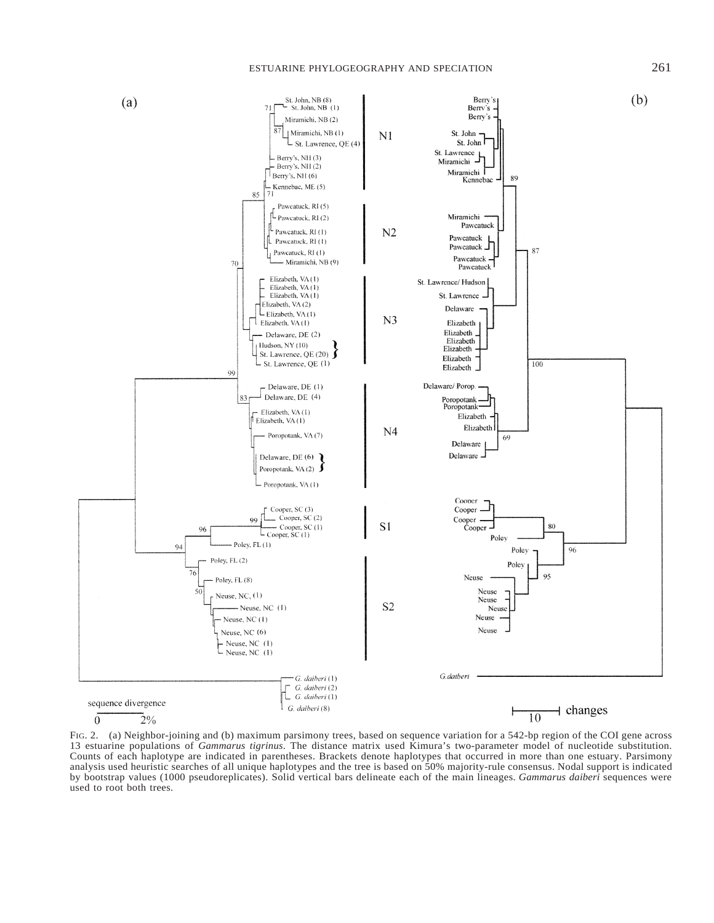

FIG. 2. (a) Neighbor-joining and (b) maximum parsimony trees, based on sequence variation for a 542-bp region of the COI gene across 13 estuarine populations of *Gammarus tigrinus*. The distance matrix used Kimura's two-parameter model of nucleotide substitution. Counts of each haplotype are indicated in parentheses. Brackets denote haplotypes that occurred in more than one estuary. Parsimony analysis used heuristic searches of all unique haplotypes and the tree is based on 50% majority-rule consensus. Nodal support is indicated by bootstrap values (1000 pseudoreplicates). Solid vertical bars delineate each of the main lineages. *Gammarus daiberi* sequences were used to root both trees.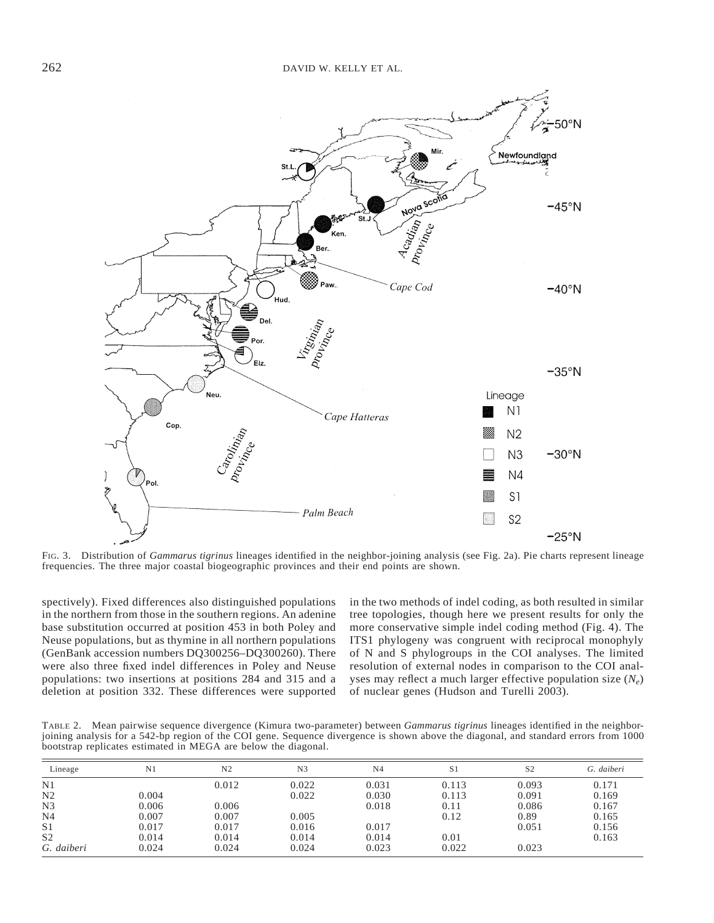

FIG. 3. Distribution of *Gammarus tigrinus* lineages identified in the neighbor-joining analysis (see Fig. 2a). Pie charts represent lineage frequencies. The three major coastal biogeographic provinces and their end points are shown.

spectively). Fixed differences also distinguished populations in the northern from those in the southern regions. An adenine base substitution occurred at position 453 in both Poley and Neuse populations, but as thymine in all northern populations (GenBank accession numbers DQ300256–DQ300260). There were also three fixed indel differences in Poley and Neuse populations: two insertions at positions 284 and 315 and a deletion at position 332. These differences were supported

in the two methods of indel coding, as both resulted in similar tree topologies, though here we present results for only the more conservative simple indel coding method (Fig. 4). The ITS1 phylogeny was congruent with reciprocal monophyly of N and S phylogroups in the COI analyses. The limited resolution of external nodes in comparison to the COI analyses may reflect a much larger effective population size  $(N_e)$ of nuclear genes (Hudson and Turelli 2003).

TABLE 2. Mean pairwise sequence divergence (Kimura two-parameter) between *Gammarus tigrinus* lineages identified in the neighborjoining analysis for a 542-bp region of the COI gene. Sequence divergence is shown above the diagonal, and standard errors from 1000 bootstrap replicates estimated in MEGA are below the diagonal.

| Lineage        | N <sub>1</sub> | N <sub>2</sub> | N <sub>3</sub> | N <sub>4</sub> | S1    | S <sub>2</sub> | G. daiberi |
|----------------|----------------|----------------|----------------|----------------|-------|----------------|------------|
| N1             |                | 0.012          | 0.022          | 0.031          | 0.113 | 0.093          | 0.171      |
| N <sub>2</sub> | 0.004          |                | 0.022          | 0.030          | 0.113 | 0.091          | 0.169      |
| N <sub>3</sub> | 0.006          | 0.006          |                | 0.018          | 0.11  | 0.086          | 0.167      |
| N <sub>4</sub> | 0.007          | 0.007          | 0.005          |                | 0.12  | 0.89           | 0.165      |
| S <sub>1</sub> | 0.017          | 0.017          | 0.016          | 0.017          |       | 0.051          | 0.156      |
| S <sub>2</sub> | 0.014          | 0.014          | 0.014          | 0.014          | 0.01  |                | 0.163      |
| G. daiberi     | 0.024          | 0.024          | 0.024          | 0.023          | 0.022 | 0.023          |            |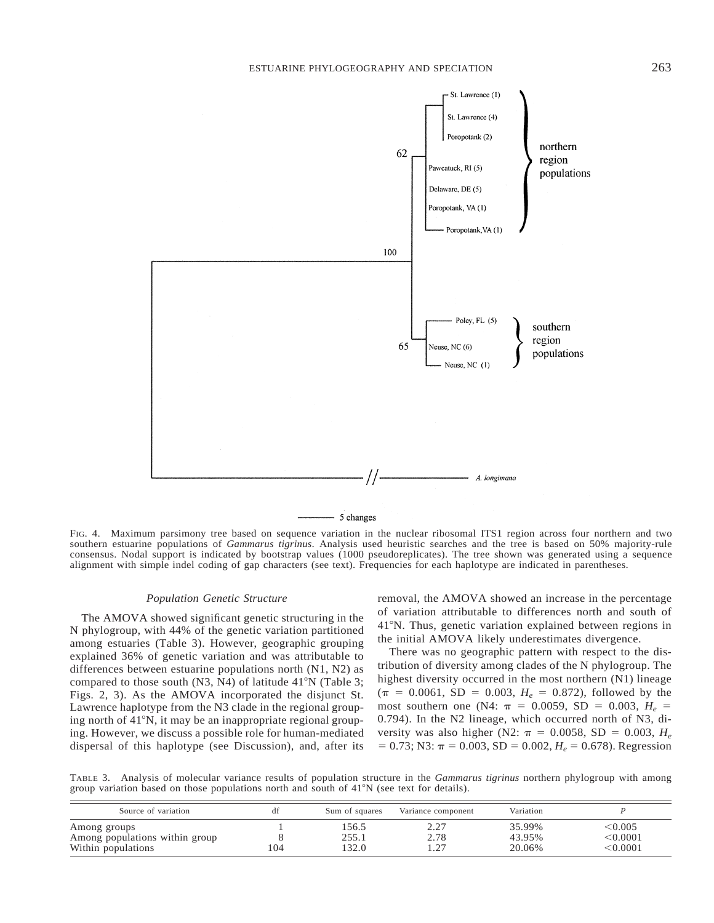

- 5 changes

FIG. 4. Maximum parsimony tree based on sequence variation in the nuclear ribosomal ITS1 region across four northern and two southern estuarine populations of *Gammarus tigrinus*. Analysis used heuristic searches and the tree is based on 50% majority-rule consensus. Nodal support is indicated by bootstrap values (1000 pseudoreplicates). The tree shown was generated using a sequence alignment with simple indel coding of gap characters (see text). Frequencies for each haplotype are indicated in parentheses.

# *Population Genetic Structure*

The AMOVA showed significant genetic structuring in the N phylogroup, with 44% of the genetic variation partitioned among estuaries (Table 3). However, geographic grouping explained 36% of genetic variation and was attributable to differences between estuarine populations north (N1, N2) as compared to those south  $(N3, N4)$  of latitude 41°N (Table 3; Figs. 2, 3). As the AMOVA incorporated the disjunct St. Lawrence haplotype from the N3 clade in the regional grouping north of  $41^{\circ}$ N, it may be an inappropriate regional grouping. However, we discuss a possible role for human-mediated dispersal of this haplotype (see Discussion), and, after its removal, the AMOVA showed an increase in the percentage of variation attributable to differences north and south of 41°N. Thus, genetic variation explained between regions in the initial AMOVA likely underestimates divergence.

There was no geographic pattern with respect to the distribution of diversity among clades of the N phylogroup. The highest diversity occurred in the most northern (N1) lineage  $(\pi = 0.0061, SD = 0.003, H_e = 0.872)$ , followed by the most southern one (N4:  $\pi = 0.0059$ , SD = 0.003,  $H_e$  = 0.794). In the N2 lineage, which occurred north of N3, diversity was also higher (N2:  $\pi = 0.0058$ , SD = 0.003, *H*<sub>e</sub>  $= 0.73$ ; N3:  $\pi = 0.003$ , SD = 0.002,  $H_e = 0.678$ ). Regression

TABLE 3. Analysis of molecular variance results of population structure in the *Gammarus tigrinus* northern phylogroup with among group variation based on those populations north and south of  $41^{\circ}N$  (see text for details).

| Source of variation                                                  | df  | Sum of squares          | Variance component | Variation                  |                                          |
|----------------------------------------------------------------------|-----|-------------------------|--------------------|----------------------------|------------------------------------------|
| Among groups<br>Among populations within group<br>Within populations | 104 | 156.5<br>255.1<br>132.0 | 2.78<br>$\cap$     | 35.99%<br>43.95%<br>20.06% | $<$ 0.005<br>$<$ 0.0001 $\,$<br>< 0.0001 |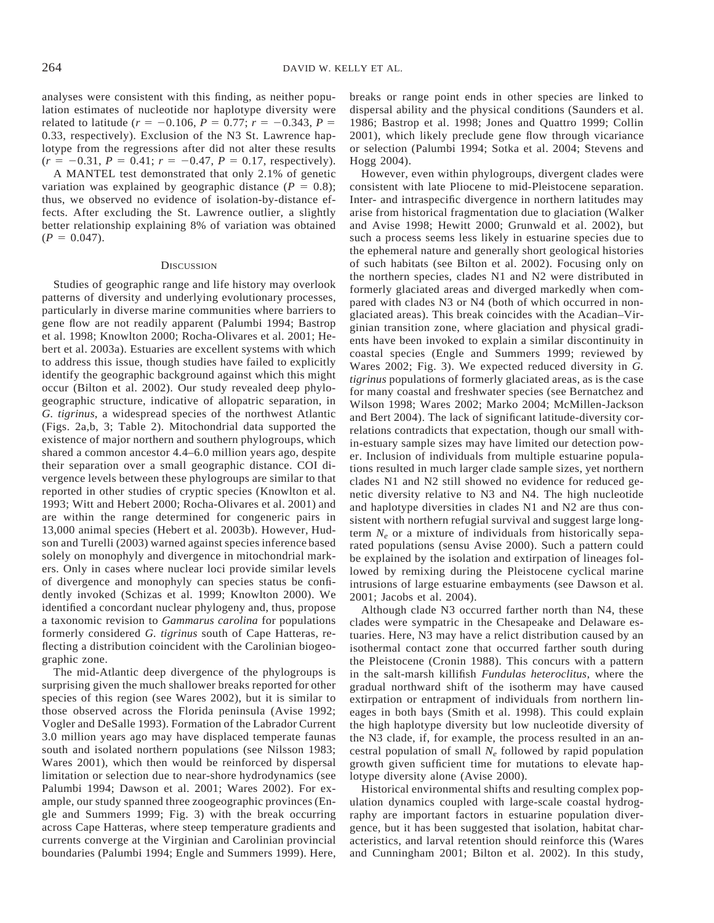analyses were consistent with this finding, as neither population estimates of nucleotide nor haplotype diversity were related to latitude ( $r = -0.106$ ,  $P = 0.77$ ;  $r = -0.343$ ,  $P =$ 0.33, respectively). Exclusion of the N3 St. Lawrence haplotype from the regressions after did not alter these results  $(r = -0.31, P = 0.41; r = -0.47, P = 0.17$ , respectively).

A MANTEL test demonstrated that only 2.1% of genetic variation was explained by geographic distance  $(P = 0.8)$ ; thus, we observed no evidence of isolation-by-distance effects. After excluding the St. Lawrence outlier, a slightly better relationship explaining 8% of variation was obtained  $(P = 0.047)$ .

#### **DISCUSSION**

Studies of geographic range and life history may overlook patterns of diversity and underlying evolutionary processes, particularly in diverse marine communities where barriers to gene flow are not readily apparent (Palumbi 1994; Bastrop et al. 1998; Knowlton 2000; Rocha-Olivares et al. 2001; Hebert et al. 2003a). Estuaries are excellent systems with which to address this issue, though studies have failed to explicitly identify the geographic background against which this might occur (Bilton et al. 2002). Our study revealed deep phylogeographic structure, indicative of allopatric separation, in *G. tigrinus*, a widespread species of the northwest Atlantic (Figs. 2a,b, 3; Table 2). Mitochondrial data supported the existence of major northern and southern phylogroups, which shared a common ancestor 4.4–6.0 million years ago, despite their separation over a small geographic distance. COI divergence levels between these phylogroups are similar to that reported in other studies of cryptic species (Knowlton et al. 1993; Witt and Hebert 2000; Rocha-Olivares et al. 2001) and are within the range determined for congeneric pairs in 13,000 animal species (Hebert et al. 2003b). However, Hudson and Turelli (2003) warned against species inference based solely on monophyly and divergence in mitochondrial markers. Only in cases where nuclear loci provide similar levels of divergence and monophyly can species status be confidently invoked (Schizas et al. 1999; Knowlton 2000). We identified a concordant nuclear phylogeny and, thus, propose a taxonomic revision to *Gammarus carolina* for populations formerly considered *G. tigrinus* south of Cape Hatteras, reflecting a distribution coincident with the Carolinian biogeographic zone.

The mid-Atlantic deep divergence of the phylogroups is surprising given the much shallower breaks reported for other species of this region (see Wares 2002), but it is similar to those observed across the Florida peninsula (Avise 1992; Vogler and DeSalle 1993). Formation of the Labrador Current 3.0 million years ago may have displaced temperate faunas south and isolated northern populations (see Nilsson 1983; Wares 2001), which then would be reinforced by dispersal limitation or selection due to near-shore hydrodynamics (see Palumbi 1994; Dawson et al. 2001; Wares 2002). For example, our study spanned three zoogeographic provinces (Engle and Summers 1999; Fig. 3) with the break occurring across Cape Hatteras, where steep temperature gradients and currents converge at the Virginian and Carolinian provincial boundaries (Palumbi 1994; Engle and Summers 1999). Here, breaks or range point ends in other species are linked to dispersal ability and the physical conditions (Saunders et al. 1986; Bastrop et al. 1998; Jones and Quattro 1999; Collin 2001), which likely preclude gene flow through vicariance or selection (Palumbi 1994; Sotka et al. 2004; Stevens and Hogg 2004).

However, even within phylogroups, divergent clades were consistent with late Pliocene to mid-Pleistocene separation. Inter- and intraspecific divergence in northern latitudes may arise from historical fragmentation due to glaciation (Walker and Avise 1998; Hewitt 2000; Grunwald et al. 2002), but such a process seems less likely in estuarine species due to the ephemeral nature and generally short geological histories of such habitats (see Bilton et al. 2002). Focusing only on the northern species, clades N1 and N2 were distributed in formerly glaciated areas and diverged markedly when compared with clades N3 or N4 (both of which occurred in nonglaciated areas). This break coincides with the Acadian–Virginian transition zone, where glaciation and physical gradients have been invoked to explain a similar discontinuity in coastal species (Engle and Summers 1999; reviewed by Wares 2002; Fig. 3). We expected reduced diversity in *G. tigrinus* populations of formerly glaciated areas, as is the case for many coastal and freshwater species (see Bernatchez and Wilson 1998; Wares 2002; Marko 2004; McMillen-Jackson and Bert 2004). The lack of significant latitude-diversity correlations contradicts that expectation, though our small within-estuary sample sizes may have limited our detection power. Inclusion of individuals from multiple estuarine populations resulted in much larger clade sample sizes, yet northern clades N1 and N2 still showed no evidence for reduced genetic diversity relative to N3 and N4. The high nucleotide and haplotype diversities in clades N1 and N2 are thus consistent with northern refugial survival and suggest large longterm  $N_e$  or a mixture of individuals from historically separated populations (sensu Avise 2000). Such a pattern could be explained by the isolation and extirpation of lineages followed by remixing during the Pleistocene cyclical marine intrusions of large estuarine embayments (see Dawson et al. 2001; Jacobs et al. 2004).

Although clade N3 occurred farther north than N4, these clades were sympatric in the Chesapeake and Delaware estuaries. Here, N3 may have a relict distribution caused by an isothermal contact zone that occurred farther south during the Pleistocene (Cronin 1988). This concurs with a pattern in the salt-marsh killifish *Fundulas heteroclitus*, where the gradual northward shift of the isotherm may have caused extirpation or entrapment of individuals from northern lineages in both bays (Smith et al. 1998). This could explain the high haplotype diversity but low nucleotide diversity of the N3 clade, if, for example, the process resulted in an ancestral population of small  $N_e$  followed by rapid population growth given sufficient time for mutations to elevate haplotype diversity alone (Avise 2000).

Historical environmental shifts and resulting complex population dynamics coupled with large-scale coastal hydrography are important factors in estuarine population divergence, but it has been suggested that isolation, habitat characteristics, and larval retention should reinforce this (Wares and Cunningham 2001; Bilton et al. 2002). In this study,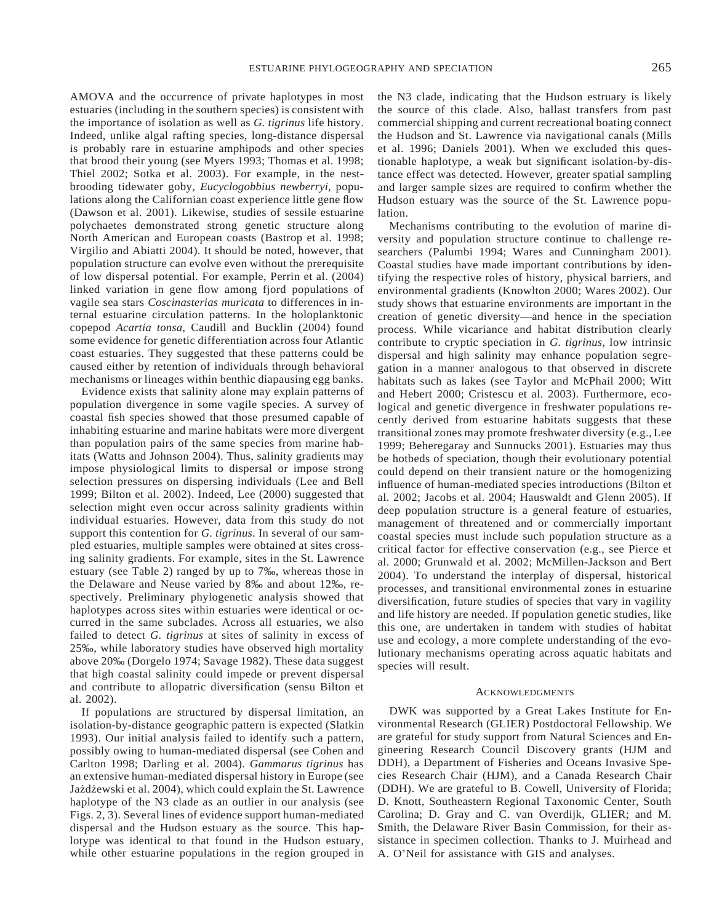AMOVA and the occurrence of private haplotypes in most estuaries (including in the southern species) is consistent with the importance of isolation as well as *G. tigrinus* life history. Indeed, unlike algal rafting species, long-distance dispersal is probably rare in estuarine amphipods and other species that brood their young (see Myers 1993; Thomas et al. 1998; Thiel 2002; Sotka et al. 2003). For example, in the nestbrooding tidewater goby, *Eucyclogobbius newberryi*, populations along the Californian coast experience little gene flow (Dawson et al. 2001). Likewise, studies of sessile estuarine polychaetes demonstrated strong genetic structure along North American and European coasts (Bastrop et al. 1998; Virgilio and Abiatti 2004). It should be noted, however, that population structure can evolve even without the prerequisite of low dispersal potential. For example, Perrin et al. (2004) linked variation in gene flow among fjord populations of vagile sea stars *Coscinasterias muricata* to differences in internal estuarine circulation patterns. In the holoplanktonic copepod *Acartia tonsa*, Caudill and Bucklin (2004) found some evidence for genetic differentiation across four Atlantic coast estuaries. They suggested that these patterns could be caused either by retention of individuals through behavioral mechanisms or lineages within benthic diapausing egg banks.

Evidence exists that salinity alone may explain patterns of population divergence in some vagile species. A survey of coastal fish species showed that those presumed capable of inhabiting estuarine and marine habitats were more divergent than population pairs of the same species from marine habitats (Watts and Johnson 2004). Thus, salinity gradients may impose physiological limits to dispersal or impose strong selection pressures on dispersing individuals (Lee and Bell 1999; Bilton et al. 2002). Indeed, Lee (2000) suggested that selection might even occur across salinity gradients within individual estuaries. However, data from this study do not support this contention for *G. tigrinus*. In several of our sampled estuaries, multiple samples were obtained at sites crossing salinity gradients. For example, sites in the St. Lawrence estuary (see Table 2) ranged by up to 7‰, whereas those in the Delaware and Neuse varied by 8‰ and about 12‰, respectively. Preliminary phylogenetic analysis showed that haplotypes across sites within estuaries were identical or occurred in the same subclades. Across all estuaries, we also failed to detect *G. tigrinus* at sites of salinity in excess of 25‰, while laboratory studies have observed high mortality above 20‰ (Dorgelo 1974; Savage 1982). These data suggest that high coastal salinity could impede or prevent dispersal and contribute to allopatric diversification (sensu Bilton et al. 2002).

If populations are structured by dispersal limitation, an isolation-by-distance geographic pattern is expected (Slatkin 1993). Our initial analysis failed to identify such a pattern, possibly owing to human-mediated dispersal (see Cohen and Carlton 1998; Darling et al. 2004). *Gammarus tigrinus* has an extensive human-mediated dispersal history in Europe (see Jażdżewski et al. 2004), which could explain the St. Lawrence haplotype of the N3 clade as an outlier in our analysis (see Figs. 2, 3). Several lines of evidence support human-mediated dispersal and the Hudson estuary as the source. This haplotype was identical to that found in the Hudson estuary, while other estuarine populations in the region grouped in the N3 clade, indicating that the Hudson estruary is likely the source of this clade. Also, ballast transfers from past commercial shipping and current recreational boating connect the Hudson and St. Lawrence via navigational canals (Mills et al. 1996; Daniels 2001). When we excluded this questionable haplotype, a weak but significant isolation-by-distance effect was detected. However, greater spatial sampling and larger sample sizes are required to confirm whether the Hudson estuary was the source of the St. Lawrence population.

Mechanisms contributing to the evolution of marine diversity and population structure continue to challenge researchers (Palumbi 1994; Wares and Cunningham 2001). Coastal studies have made important contributions by identifying the respective roles of history, physical barriers, and environmental gradients (Knowlton 2000; Wares 2002). Our study shows that estuarine environments are important in the creation of genetic diversity—and hence in the speciation process. While vicariance and habitat distribution clearly contribute to cryptic speciation in *G. tigrinus*, low intrinsic dispersal and high salinity may enhance population segregation in a manner analogous to that observed in discrete habitats such as lakes (see Taylor and McPhail 2000; Witt and Hebert 2000; Cristescu et al. 2003). Furthermore, ecological and genetic divergence in freshwater populations recently derived from estuarine habitats suggests that these transitional zones may promote freshwater diversity (e.g., Lee 1999; Beheregaray and Sunnucks 2001). Estuaries may thus be hotbeds of speciation, though their evolutionary potential could depend on their transient nature or the homogenizing influence of human-mediated species introductions (Bilton et al. 2002; Jacobs et al. 2004; Hauswaldt and Glenn 2005). If deep population structure is a general feature of estuaries, management of threatened and or commercially important coastal species must include such population structure as a critical factor for effective conservation (e.g., see Pierce et al. 2000; Grunwald et al. 2002; McMillen-Jackson and Bert 2004). To understand the interplay of dispersal, historical processes, and transitional environmental zones in estuarine diversification, future studies of species that vary in vagility and life history are needed. If population genetic studies, like this one, are undertaken in tandem with studies of habitat use and ecology, a more complete understanding of the evolutionary mechanisms operating across aquatic habitats and species will result.

#### ACKNOWLEDGMENTS

DWK was supported by a Great Lakes Institute for Environmental Research (GLIER) Postdoctoral Fellowship. We are grateful for study support from Natural Sciences and Engineering Research Council Discovery grants (HJM and DDH), a Department of Fisheries and Oceans Invasive Species Research Chair (HJM), and a Canada Research Chair (DDH). We are grateful to B. Cowell, University of Florida; D. Knott, Southeastern Regional Taxonomic Center, South Carolina; D. Gray and C. van Overdijk, GLIER; and M. Smith, the Delaware River Basin Commission, for their assistance in specimen collection. Thanks to J. Muirhead and A. O'Neil for assistance with GIS and analyses.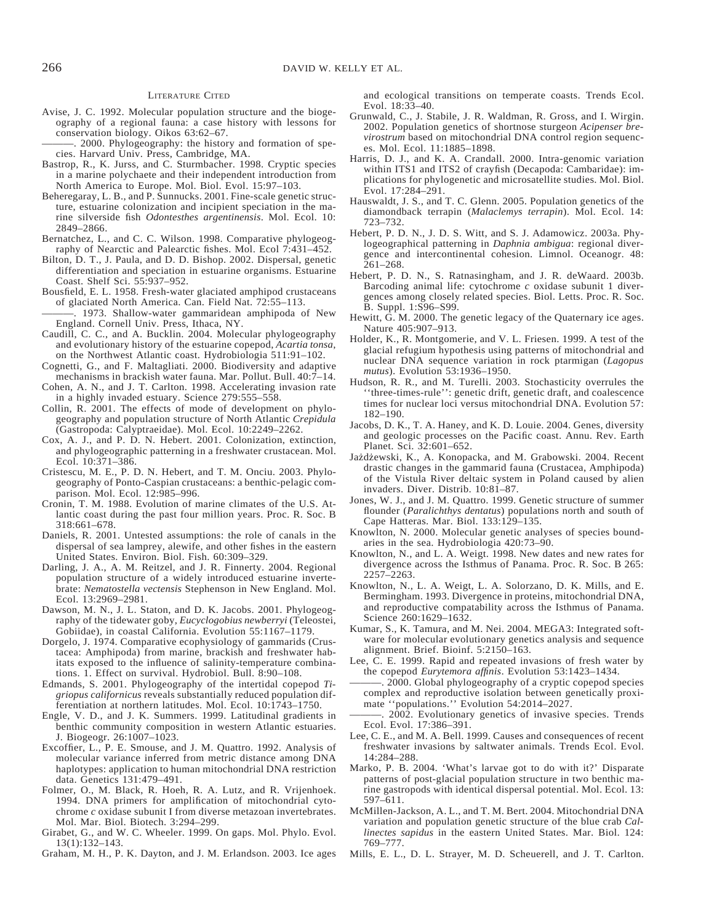#### LITERATURE CITED

Avise, J. C. 1992. Molecular population structure and the biogeography of a regional fauna: a case history with lessons for conservation biology. Oikos 63:62–67.

2000. Phylogeography: the history and formation of species. Harvard Univ. Press, Cambridge, MA.

- Bastrop, R., K. Jurss, and C. Sturmbacher. 1998. Cryptic species in a marine polychaete and their independent introduction from North America to Europe. Mol. Biol. Evol. 15:97–103.
- Beheregaray, L. B., and P. Sunnucks. 2001. Fine-scale genetic structure, estuarine colonization and incipient speciation in the marine silverside fish *Odontesthes argentinensis*. Mol. Ecol. 10: 2849–2866.
- Bernatchez, L., and C. C. Wilson. 1998. Comparative phylogeography of Nearctic and Palearctic fishes. Mol. Ecol 7:431–452.
- Bilton, D. T., J. Paula, and D. D. Bishop. 2002. Dispersal, genetic differentiation and speciation in estuarine organisms. Estuarine Coast. Shelf Sci. 55:937–952.
- Bousfield, E. L. 1958. Fresh-water glaciated amphipod crustaceans of glaciated North America. Can. Field Nat. 72:55–113.
- 1973. Shallow-water gammaridean amphipoda of New England. Cornell Univ. Press, Ithaca, NY.
- Caudill, C. C., and A. Bucklin. 2004. Molecular phylogeography and evolutionary history of the estuarine copepod, *Acartia tonsa*, on the Northwest Atlantic coast. Hydrobiologia 511:91–102.
- Cognetti, G., and F. Maltagliati. 2000. Biodiversity and adaptive mechanisms in brackish water fauna. Mar. Pollut. Bull. 40:7–14.
- Cohen, A. N., and J. T. Carlton. 1998. Accelerating invasion rate in a highly invaded estuary. Science 279:555–558.
- Collin, R. 2001. The effects of mode of development on phylogeography and population structure of North Atlantic *Crepidula* (Gastropoda: Calyptraeidae). Mol. Ecol. 10:2249–2262.
- Cox, A. J., and P. D. N. Hebert. 2001. Colonization, extinction, and phylogeographic patterning in a freshwater crustacean. Mol. Ecol. 10:371–386.
- Cristescu, M. E., P. D. N. Hebert, and T. M. Onciu. 2003. Phylogeography of Ponto-Caspian crustaceans: a benthic-pelagic comparison. Mol. Ecol. 12:985–996.
- Cronin, T. M. 1988. Evolution of marine climates of the U.S. Atlantic coast during the past four million years. Proc. R. Soc. B 318:661–678.
- Daniels, R. 2001. Untested assumptions: the role of canals in the dispersal of sea lamprey, alewife, and other fishes in the eastern United States. Environ. Biol. Fish. 60:309–329.
- Darling, J. A., A. M. Reitzel, and J. R. Finnerty. 2004. Regional population structure of a widely introduced estuarine invertebrate: *Nematostella vectensis* Stephenson in New England. Mol. Ecol. 13:2969–2981.
- Dawson, M. N., J. L. Staton, and D. K. Jacobs. 2001. Phylogeography of the tidewater goby, *Eucyclogobius newberryi* (Teleostei, Gobiidae), in coastal California. Evolution 55:1167–1179.
- Dorgelo, J. 1974. Comparative ecophysiology of gammarids (Crustacea: Amphipoda) from marine, brackish and freshwater habitats exposed to the influence of salinity-temperature combinations. 1. Effect on survival. Hydrobiol. Bull. 8:90–108.
- Edmands, S. 2001. Phylogeography of the intertidal copepod *Tigriopus californicus* reveals substantially reduced population differentiation at northern latitudes. Mol. Ecol. 10:1743–1750.
- Engle, V. D., and J. K. Summers. 1999. Latitudinal gradients in benthic community composition in western Atlantic estuaries. J. Biogeogr. 26:1007–1023.
- Excoffier, L., P. E. Smouse, and J. M. Quattro. 1992. Analysis of molecular variance inferred from metric distance among DNA haplotypes: application to human mitochondrial DNA restriction data. Genetics 131:479–491.
- Folmer, O., M. Black, R. Hoeh, R. A. Lutz, and R. Vrijenhoek. 1994. DNA primers for amplification of mitochondrial cytochrome *c* oxidase subunit I from diverse metazoan invertebrates. Mol. Mar. Biol. Biotech. 3:294–299.
- Girabet, G., and W. C. Wheeler. 1999. On gaps. Mol. Phylo. Evol. 13(1):132–143.
- Graham, M. H., P. K. Dayton, and J. M. Erlandson. 2003. Ice ages

and ecological transitions on temperate coasts. Trends Ecol. Evol. 18:33–40.

- Grunwald, C., J. Stabile, J. R. Waldman, R. Gross, and I. Wirgin. 2002. Population genetics of shortnose sturgeon *Acipenser brevirostrum* based on mitochondrial DNA control region sequences. Mol. Ecol. 11:1885–1898.
- Harris, D. J., and K. A. Crandall. 2000. Intra-genomic variation within ITS1 and ITS2 of crayfish (Decapoda: Cambaridae): implications for phylogenetic and microsatellite studies. Mol. Biol. Evol. 17:284–291.
- Hauswaldt, J. S., and T. C. Glenn. 2005. Population genetics of the diamondback terrapin (*Malaclemys terrapin*). Mol. Ecol. 14: 723–732.
- Hebert, P. D. N., J. D. S. Witt, and S. J. Adamowicz. 2003a. Phylogeographical patterning in *Daphnia ambigua*: regional divergence and intercontinental cohesion. Limnol. Oceanogr. 48: 261–268.
- Hebert, P. D. N., S. Ratnasingham, and J. R. deWaard. 2003b. Barcoding animal life: cytochrome *c* oxidase subunit 1 divergences among closely related species. Biol. Letts. Proc. R. Soc. B. Suppl. 1:S96–S99.
- Hewitt,  $\dot{G}$ . M. 2000. The genetic legacy of the Quaternary ice ages. Nature 405:907–913.
- Holder, K., R. Montgomerie, and V. L. Friesen. 1999. A test of the glacial refugium hypothesis using patterns of mitochondrial and nuclear DNA sequence variation in rock ptarmigan (*Lagopus mutus*). Evolution 53:1936–1950.
- Hudson, R. R., and M. Turelli. 2003. Stochasticity overrules the ''three-times-rule'': genetic drift, genetic draft, and coalescence times for nuclear loci versus mitochondrial DNA. Evolution 57: 182–190.
- Jacobs, D. K., T. A. Haney, and K. D. Louie. 2004. Genes, diversity and geologic processes on the Pacific coast. Annu. Rev. Earth Planet. Sci. 32:601–652.
- Jażdżewski, K., A. Konopacka, and M. Grabowski. 2004. Recent drastic changes in the gammarid fauna (Crustacea, Amphipoda) of the Vistula River deltaic system in Poland caused by alien invaders. Diver. Distrib. 10:81–87.
- Jones, W. J., and J. M. Quattro. 1999. Genetic structure of summer flounder (*Paralichthys dentatus*) populations north and south of Cape Hatteras. Mar. Biol. 133:129–135.
- Knowlton, N. 2000. Molecular genetic analyses of species boundaries in the sea. Hydrobiologia 420:73–90.
- Knowlton, N., and L. A. Weigt. 1998. New dates and new rates for divergence across the Isthmus of Panama. Proc. R. Soc. B 265: 2257–2263.
- Knowlton, N., L. A. Weigt, L. A. Solorzano, D. K. Mills, and E. Bermingham. 1993. Divergence in proteins, mitochondrial DNA, and reproductive compatability across the Isthmus of Panama. Science 260:1629–1632.
- Kumar, S., K. Tamura, and M. Nei. 2004. MEGA3: Integrated software for molecular evolutionary genetics analysis and sequence alignment. Brief. Bioinf. 5:2150–163.
- Lee, C. E. 1999. Rapid and repeated invasions of fresh water by the copepod *Eurytemora affinis*. Evolution 53:1423–1434.
- 2000. Global phylogeography of a cryptic copepod species complex and reproductive isolation between genetically proximate ''populations.'' Evolution 54:2014–2027.
- 2002. Evolutionary genetics of invasive species. Trends Ecol. Evol. 17:386–391.
- Lee, C. E., and M. A. Bell. 1999. Causes and consequences of recent freshwater invasions by saltwater animals. Trends Ecol. Evol. 14:284–288.
- Marko, P. B. 2004. 'What's larvae got to do with it?' Disparate patterns of post-glacial population structure in two benthic marine gastropods with identical dispersal potential. Mol. Ecol. 13: 597–611.
- McMillen-Jackson, A. L., and T. M. Bert. 2004. Mitochondrial DNA variation and population genetic structure of the blue crab *Callinectes sapidus* in the eastern United States. Mar. Biol. 124: 769–777.
- Mills, E. L., D. L. Strayer, M. D. Scheuerell, and J. T. Carlton.